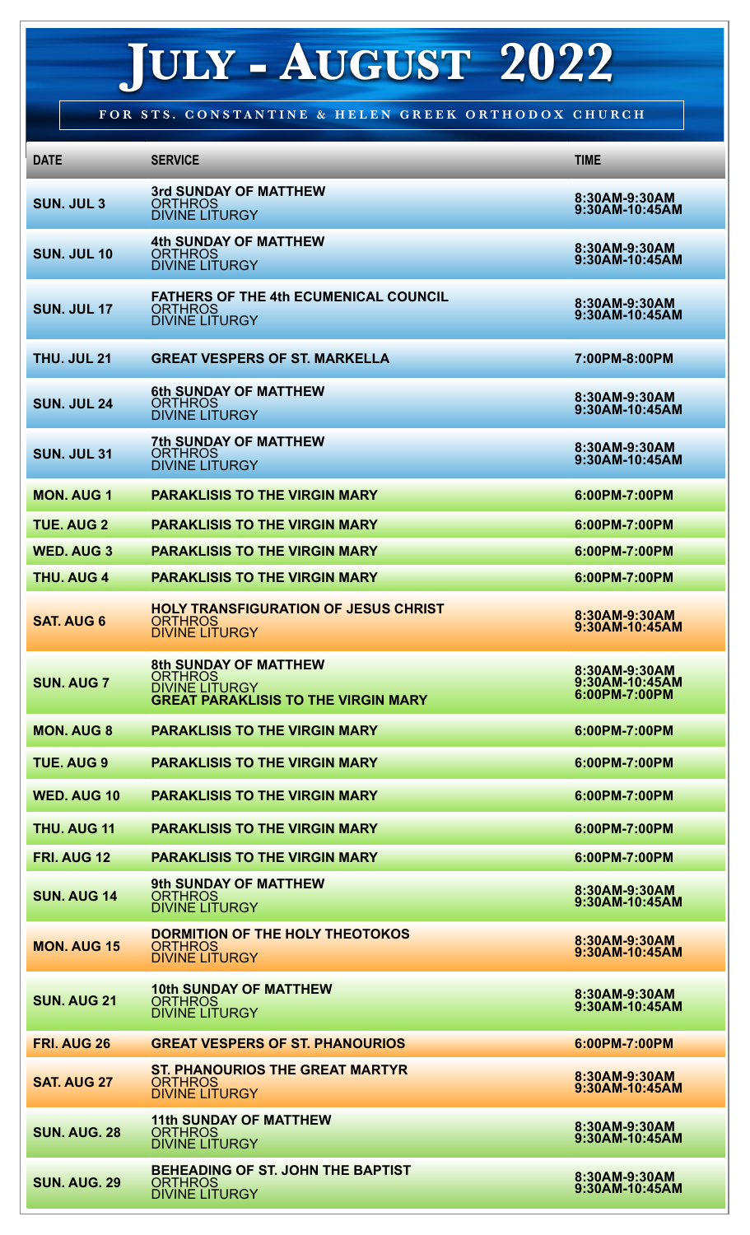## **JULY - AUGUST 2022**

**FOR STS. CONSTANTINE & HELEN GREEK ORTHODOX CHURCH**

| <b>DATE</b>         | <b>SERVICE</b>                                                                                                        | <b>TIME</b>                                      |
|---------------------|-----------------------------------------------------------------------------------------------------------------------|--------------------------------------------------|
| <b>SUN. JUL 3</b>   | <b>3rd SUNDAY OF MATTHEW</b><br><b>ORTHROS</b><br><b>DIVINE LITURGY</b>                                               | 8:30AM-9:30AM<br>9:30AM-10:45AM                  |
| <b>SUN. JUL 10</b>  | <b>4th SUNDAY OF MATTHEW</b><br><b>ORTHROS</b><br><b>DIVINE LITURGY</b>                                               | 8:30AM-9:30AM<br>9:30AM-10:45AM                  |
| <b>SUN. JUL 17</b>  | <b>FATHERS OF THE 4th ECUMENICAL COUNCIL</b><br><b>ORTHROS</b><br><b>DIVINE LITURGY</b>                               | 8:30AM-9:30AM<br>9:30AM-10:45AM                  |
| <b>THU, JUL 21</b>  | <b>GREAT VESPERS OF ST. MARKELLA</b>                                                                                  | 7:00PM-8:00PM                                    |
| <b>SUN. JUL 24</b>  | <b>6th SUNDAY OF MATTHEW</b><br><b>ORTHROS</b><br><b>DIVINE LITURGY</b>                                               | 8:30AM-9:30AM<br>9:30AM-10:45AM                  |
| <b>SUN. JUL 31</b>  | <b>7th SUNDAY OF MATTHEW</b><br><b>ORTHROS</b><br><b>DIVINE LITURGY</b>                                               | 8:30AM-9:30AM<br>9:30AM-10:45AM                  |
| <b>MON. AUG 1</b>   | <b>PARAKLISIS TO THE VIRGIN MARY</b>                                                                                  | 6:00PM-7:00PM                                    |
| <b>TUE, AUG 2</b>   | <b>PARAKLISIS TO THE VIRGIN MARY</b>                                                                                  | 6:00PM-7:00PM                                    |
| <b>WED. AUG 3</b>   | <b>PARAKLISIS TO THE VIRGIN MARY</b>                                                                                  | 6:00PM-7:00PM                                    |
| <b>THU, AUG 4</b>   | <b>PARAKLISIS TO THE VIRGIN MARY</b>                                                                                  | 6:00PM-7:00PM                                    |
| <b>SAT. AUG 6</b>   | <b>HOLY TRANSFIGURATION OF JESUS CHRIST</b><br><b>ORTHROS</b><br><b>DIVINE LITURGY</b>                                | 8:30AM-9:30AM<br>9:30AM-10:45AM                  |
| <b>SUN. AUG 7</b>   | <b>8th SUNDAY OF MATTHEW</b><br><b>ORTHROS</b><br><b>DIVINE LITURGY</b><br><b>GREAT PARAKLISIS TO THE VIRGIN MARY</b> | 8:30AM-9:30AM<br>9:30AM-10:45AM<br>6:00PM-7:00PM |
| <b>MON. AUG 8</b>   | <b>PARAKLISIS TO THE VIRGIN MARY</b>                                                                                  | 6:00PM-7:00PM                                    |
| <b>TUE. AUG 9</b>   | <b>PARAKLISIS TO THE VIRGIN MARY</b>                                                                                  | 6:00PM-7:00PM                                    |
| <b>WED. AUG 10</b>  | <b>PARAKLISIS TO THE VIRGIN MARY</b>                                                                                  | 6:00PM-7:00PM                                    |
| THU. AUG 11         | <b>PARAKLISIS TO THE VIRGIN MARY</b>                                                                                  | 6:00PM-7:00PM                                    |
| FRI. AUG 12         | <b>PARAKLISIS TO THE VIRGIN MARY</b>                                                                                  | 6:00PM-7:00PM                                    |
| <b>SUN. AUG 14</b>  | 9th SUNDAY OF MATTHEW<br><b>ORTHROS</b><br><b>DIVINE LITURGY</b>                                                      | 8:30AM-9:30AM<br>9:30AM-10:45AM                  |
| <b>MON. AUG 15</b>  | <b>DORMITION OF THE HOLY THEOTOKOS</b><br><b>ORTHROS</b><br><b>DIVINE LITURGY</b>                                     | 8:30AM-9:30AM<br>9:30AM-10:45AM                  |
| <b>SUN. AUG 21</b>  | <b>10th SUNDAY OF MATTHEW</b><br><b>ORTHROS</b><br><b>DIVINE LITURGY</b>                                              | 8:30AM-9:30AM<br>9:30AM-10:45AM                  |
| <b>FRI. AUG 26</b>  | <b>GREAT VESPERS OF ST. PHANOURIOS</b>                                                                                | 6:00PM-7:00PM                                    |
| <b>SAT. AUG 27</b>  | <b>ST. PHANOURIOS THE GREAT MARTYR</b><br><b>ORTHROS</b><br><b>DIVINE LITURGY</b>                                     | 8:30AM-9:30AM<br>9:30AM-10:45AM                  |
| <b>SUN. AUG. 28</b> | <b>11th SUNDAY OF MATTHEW</b><br><b>ORTHROS</b><br><b>DIVINE LITURGY</b>                                              | 8:30AM-9:30AM<br>9:30AM-10:45AM                  |
| <b>SUN. AUG. 29</b> | BEHEADING OF ST. JOHN THE BAPTIST<br><b>ORTHROS</b><br><b>DIVINE LITURGY</b>                                          | 8:30AM-9:30AM<br>9:30AM-10:45AM                  |